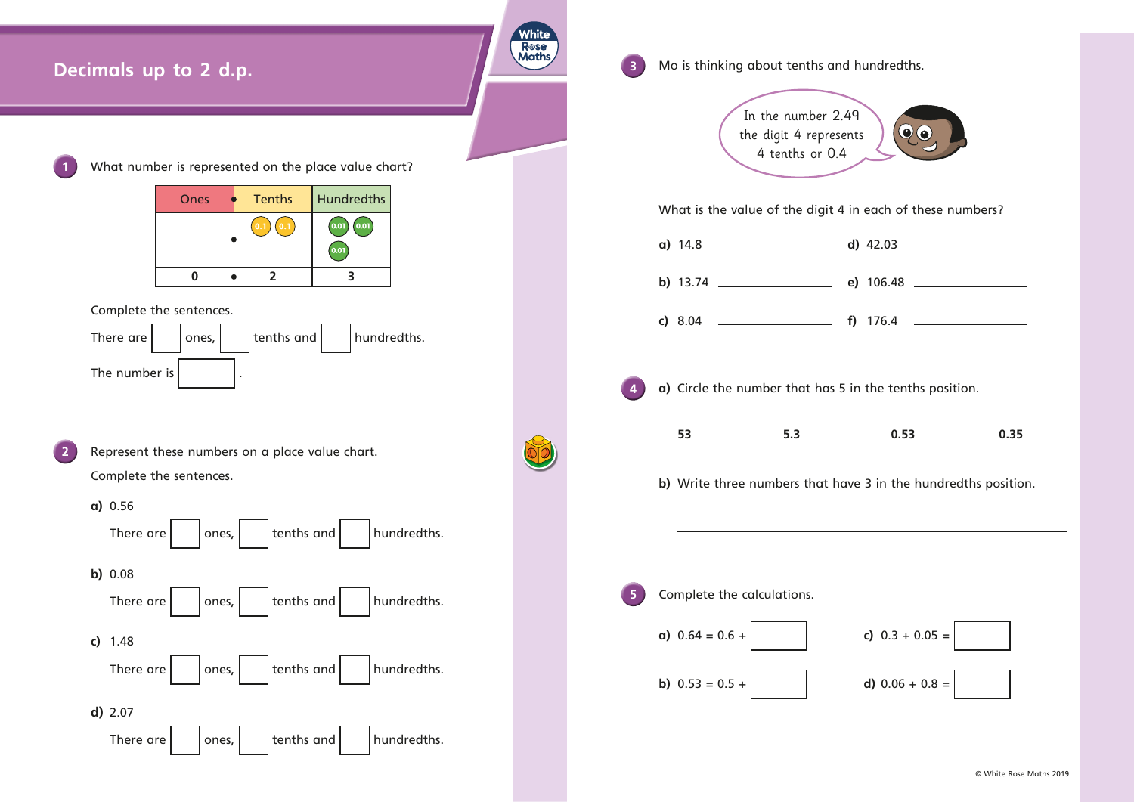

| ts | $\odot$ $\odot$ |
|----|-----------------|
|    |                 |

| 42.03         |  |
|---------------|--|
| 106.48        |  |
| 17 <i>c 1</i> |  |